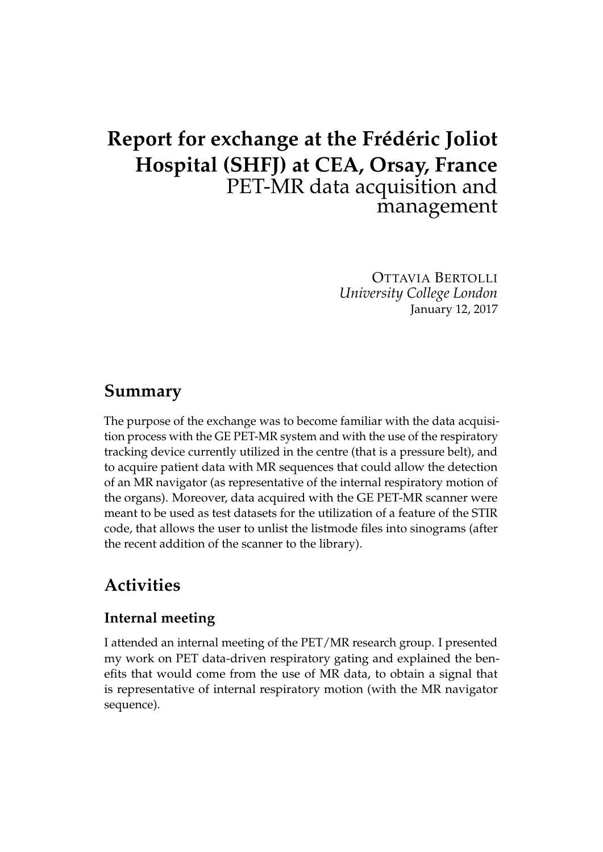# **Report for exchange at the Frédéric Joliot Hospital (SHFJ) at CEA, Orsay, France** PET-MR data acquisition and management

OTTAVIA BERTOLLI *University College London* January 12, 2017

### **Summary**

The purpose of the exchange was to become familiar with the data acquisition process with the GE PET-MR system and with the use of the respiratory tracking device currently utilized in the centre (that is a pressure belt), and to acquire patient data with MR sequences that could allow the detection of an MR navigator (as representative of the internal respiratory motion of the organs). Moreover, data acquired with the GE PET-MR scanner were meant to be used as test datasets for the utilization of a feature of the STIR code, that allows the user to unlist the listmode files into sinograms (after the recent addition of the scanner to the library).

## **Activities**

### **Internal meeting**

I attended an internal meeting of the PET/MR research group. I presented my work on PET data-driven respiratory gating and explained the benefits that would come from the use of MR data, to obtain a signal that is representative of internal respiratory motion (with the MR navigator sequence).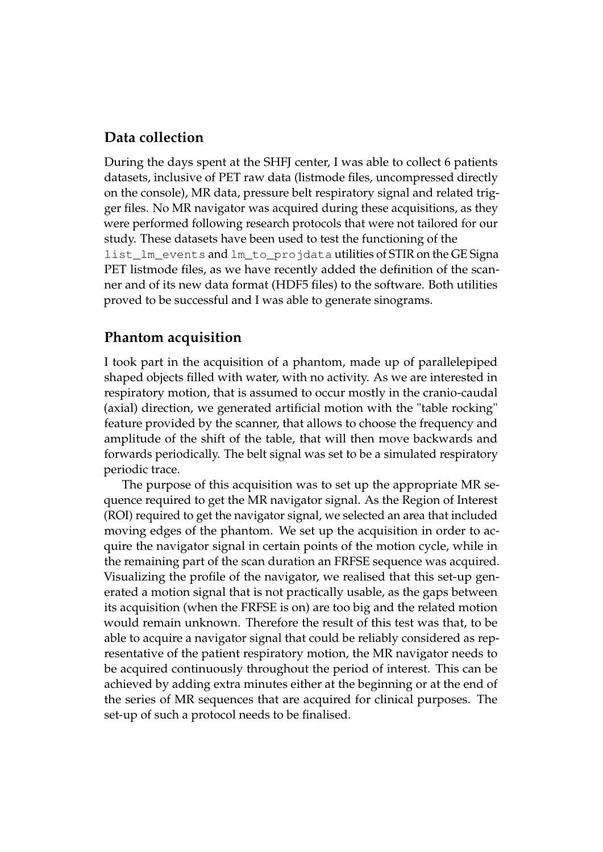#### **Data collection**

During the days spent at the SHFJ center, I was able to collect 6 patients datasets, inclusive of PET raw data (listmode files, uncompressed directly on the console), MR data, pressure belt respiratory signal and related trigger files. No MR navigator was acquired during these acquisitions, as they were performed following research protocols that were not tailored for our study. These datasets have been used to test the functioning of the list\_lm\_events and lm\_to\_projdata utilities of STIR on the GE Signa PET listmode files, as we have recently added the definition of the scanner and of its new data format (HDF5 files) to the software. Both utilities proved to be successful and I was able to generate sinograms.

#### **Phantom acquisition**

I took part in the acquisition of a phantom, made up of parallelepiped shaped objects filled with water, with no activity. As we are interested in respiratory motion, that is assumed to occur mostly in the cranio-caudal (axial) direction, we generated artificial motion with the "table rocking" feature provided by the scanner, that allows to choose the frequency and amplitude of the shift of the table, that will then move backwards and forwards periodically. The belt signal was set to be a simulated respiratory periodic trace.

The purpose of this acquisition was to set up the appropriate MR sequence required to get the MR navigator signal. As the Region of Interest (ROI) required to get the navigator signal, we selected an area that included moving edges of the phantom. We set up the acquisition in order to acquire the navigator signal in certain points of the motion cycle, while in the remaining part of the scan duration an FRFSE sequence was acquired. Visualizing the profile of the navigator, we realised that this set-up generated a motion signal that is not practically usable, as the gaps between its acquisition (when the FRFSE is on) are too big and the related motion would remain unknown. Therefore the result of this test was that, to be able to acquire a navigator signal that could be reliably considered as representative of the patient respiratory motion, the MR navigator needs to be acquired continuously throughout the period of interest. This can be achieved by adding extra minutes either at the beginning or at the end of the series of MR sequences that are acquired for clinical purposes. The set-up of such a protocol needs to be finalised.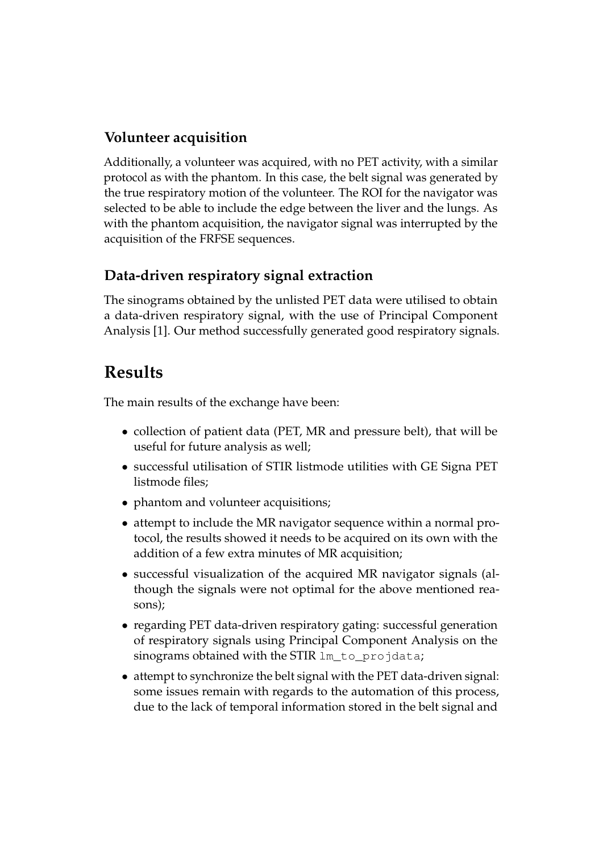### **Volunteer acquisition**

Additionally, a volunteer was acquired, with no PET activity, with a similar protocol as with the phantom. In this case, the belt signal was generated by the true respiratory motion of the volunteer. The ROI for the navigator was selected to be able to include the edge between the liver and the lungs. As with the phantom acquisition, the navigator signal was interrupted by the acquisition of the FRFSE sequences.

### **Data-driven respiratory signal extraction**

The sinograms obtained by the unlisted PET data were utilised to obtain a data-driven respiratory signal, with the use of Principal Component Analysis [1]. Our method successfully generated good respiratory signals.

## **Results**

The main results of the exchange have been:

- collection of patient data (PET, MR and pressure belt), that will be useful for future analysis as well;
- successful utilisation of STIR listmode utilities with GE Signa PET listmode files;
- phantom and volunteer acquisitions;
- attempt to include the MR navigator sequence within a normal protocol, the results showed it needs to be acquired on its own with the addition of a few extra minutes of MR acquisition;
- successful visualization of the acquired MR navigator signals (although the signals were not optimal for the above mentioned reasons);
- regarding PET data-driven respiratory gating: successful generation of respiratory signals using Principal Component Analysis on the sinograms obtained with the STIR lm\_to\_projdata;
- attempt to synchronize the belt signal with the PET data-driven signal: some issues remain with regards to the automation of this process, due to the lack of temporal information stored in the belt signal and